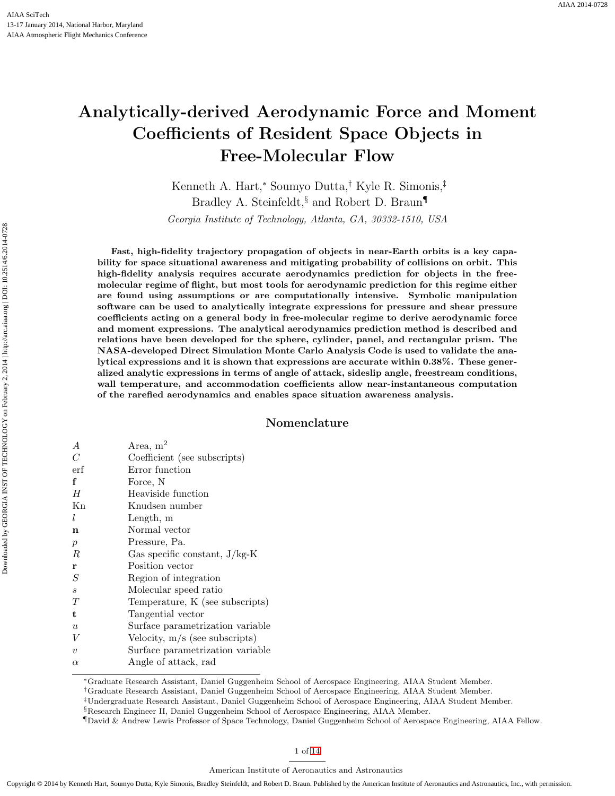# Analytically-derived Aerodynamic Force and Moment Coefficients of Resident Space Objects in Free-Molecular Flow

Kenneth A. Hart,<sup>∗</sup> Soumyo Dutta,† Kyle R. Simonis,‡ Bradley A. Steinfeldt, and Robert D. Braun Georgia Institute of Technology, Atlanta, GA, 30332-1510, USA

Fast, high-fidelity trajectory propagation of objects in near-Earth orbits is a key capability for space situational awareness and mitigating probability of collisions on orbit. This high-fidelity analysis requires accurate aerodynamics prediction for objects in the freemolecular regime of flight, but most tools for aerodynamic prediction for this regime either are found using assumptions or are computationally intensive. Symbolic manipulation software can be used to analytically integrate expressions for pressure and shear pressure coefficients acting on a general body in free-molecular regime to derive aerodynamic force and moment expressions. The analytical aerodynamics prediction method is described and relations have been developed for the sphere, cylinder, panel, and rectangular prism. The NASA-developed Direct Simulation Monte Carlo Analysis Code is used to validate the analytical expressions and it is shown that expressions are accurate within 0.38%. These generalized analytic expressions in terms of angle of attack, sideslip angle, freestream conditions, wall temperature, and accommodation coefficients allow near-instantaneous computation of the rarefied aerodynamics and enables space situation awareness analysis.

## Nomenclature

| $\boldsymbol{A}$  | Area, $m2$                       |
|-------------------|----------------------------------|
| $\mathcal C$      | Coefficient (see subscripts)     |
| erf               | Error function                   |
| f                 | Force, N                         |
| Н                 | Heaviside function               |
| Kn                | Knudsen number                   |
| l                 | Length, m                        |
| n                 | Normal vector                    |
| $\boldsymbol{p}$  | Pressure, Pa.                    |
| R                 | Gas specific constant, $J/kg-K$  |
| r                 | Position vector                  |
| $\mathcal{S}_{0}$ | Region of integration            |
| $\boldsymbol{s}$  | Molecular speed ratio            |
| T                 | Temperature, K (see subscripts)  |
| t                 | Tangential vector                |
| $\boldsymbol{u}$  | Surface parametrization variable |
| V                 | Velocity, $m/s$ (see subscripts) |
| $\boldsymbol{v}$  | Surface parametrization variable |
| $\alpha$          | Angle of attack, rad             |

<sup>∗</sup>Graduate Research Assistant, Daniel Guggenheim School of Aerospace Engineering, AIAA Student Member.

†Graduate Research Assistant, Daniel Guggenheim School of Aerospace Engineering, AIAA Student Member.

‡Undergraduate Research Assistant, Daniel Guggenheim School of Aerospace Engineering, AIAA Student Member.

§Research Engineer II, Daniel Guggenheim School of Aerospace Engineering, AIAA Member.

¶David & Andrew Lewis Professor of Space Technology, Daniel Guggenheim School of Aerospace Engineering, AIAA Fellow.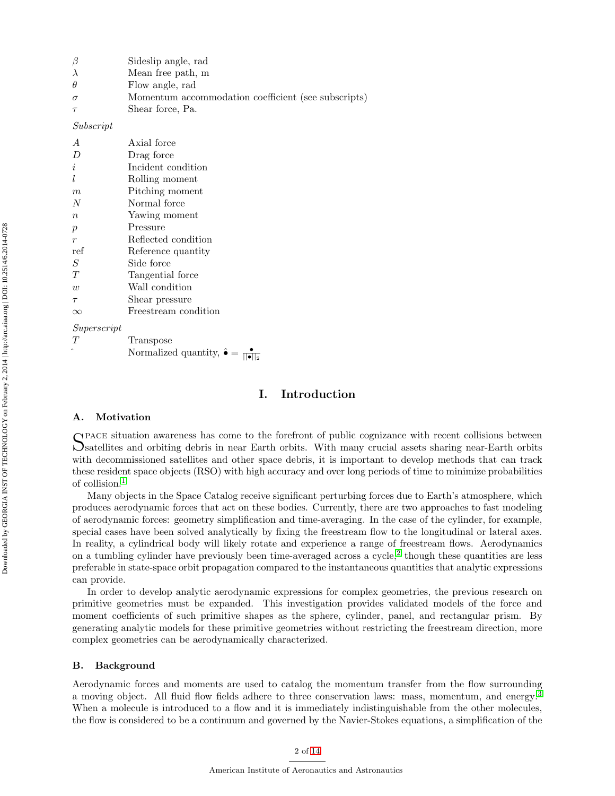|                                                                 | β                | Sideslip angle, rad  |  |  |  |  |
|-----------------------------------------------------------------|------------------|----------------------|--|--|--|--|
|                                                                 | λ                | Mean free path, m    |  |  |  |  |
|                                                                 | $\theta$         | Flow angle, rad      |  |  |  |  |
| Momentum accommodation coefficient (see subscripts)<br>$\sigma$ |                  |                      |  |  |  |  |
|                                                                 | $\tau$           | Shear force, Pa.     |  |  |  |  |
|                                                                 | Subscript        |                      |  |  |  |  |
|                                                                 | A                | Axial force          |  |  |  |  |
|                                                                 | D                | Drag force           |  |  |  |  |
|                                                                 | i                | Incident condition   |  |  |  |  |
|                                                                 | l                | Rolling moment       |  |  |  |  |
|                                                                 | m                | Pitching moment      |  |  |  |  |
|                                                                 | N                | Normal force         |  |  |  |  |
|                                                                 | $\boldsymbol{n}$ | Yawing moment        |  |  |  |  |
|                                                                 | $\boldsymbol{p}$ | Pressure             |  |  |  |  |
|                                                                 | $\boldsymbol{r}$ | Reflected condition  |  |  |  |  |
|                                                                 | ref              | Reference quantity   |  |  |  |  |
|                                                                 | $\cal S$         | Side force           |  |  |  |  |
|                                                                 | Т                | Tangential force     |  |  |  |  |
|                                                                 | w                | Wall condition       |  |  |  |  |
|                                                                 | $\tau$           | Shear pressure       |  |  |  |  |
|                                                                 | $\infty$         | Freestream condition |  |  |  |  |
|                                                                 | Superscript      |                      |  |  |  |  |
|                                                                 |                  |                      |  |  |  |  |

T Transpose ^ Normalized quantity,  $\hat{\bullet} = \frac{\bullet}{\|\bullet\|_2}$ 

# I. Introduction

#### A. Motivation

SPACE situation awareness has come to the forefront of public cognizance with recent collisions between<br>Satellites and orbiting debris in near Earth orbits. With many crucial assets sharing near-Earth orbits Satellites and orbiting debris in near Earth orbits. With many crucial assets sharing near-Earth orbits with decommissioned satellites and other space debris, it is important to develop methods that can track these resident space objects (RSO) with high accuracy and over long periods of time to minimize probabilities of collision.[1](#page-12-0)

Many objects in the Space Catalog receive significant perturbing forces due to Earth's atmosphere, which produces aerodynamic forces that act on these bodies. Currently, there are two approaches to fast modeling of aerodynamic forces: geometry simplification and time-averaging. In the case of the cylinder, for example, special cases have been solved analytically by fixing the freestream flow to the longitudinal or lateral axes. In reality, a cylindrical body will likely rotate and experience a range of freestream flows. Aerodynamics on a tumbling cylinder have previously been time-averaged across a cycle,<sup>[2](#page-12-1)</sup> though these quantities are less preferable in state-space orbit propagation compared to the instantaneous quantities that analytic expressions can provide.

In order to develop analytic aerodynamic expressions for complex geometries, the previous research on primitive geometries must be expanded. This investigation provides validated models of the force and moment coefficients of such primitive shapes as the sphere, cylinder, panel, and rectangular prism. By generating analytic models for these primitive geometries without restricting the freestream direction, more complex geometries can be aerodynamically characterized.

#### B. Background

Aerodynamic forces and moments are used to catalog the momentum transfer from the flow surrounding a moving object. All fluid flow fields adhere to three conservation laws: mass, momentum, and energy.[3](#page-13-1) When a molecule is introduced to a flow and it is immediately indistinguishable from the other molecules, the flow is considered to be a continuum and governed by the Navier-Stokes equations, a simplification of the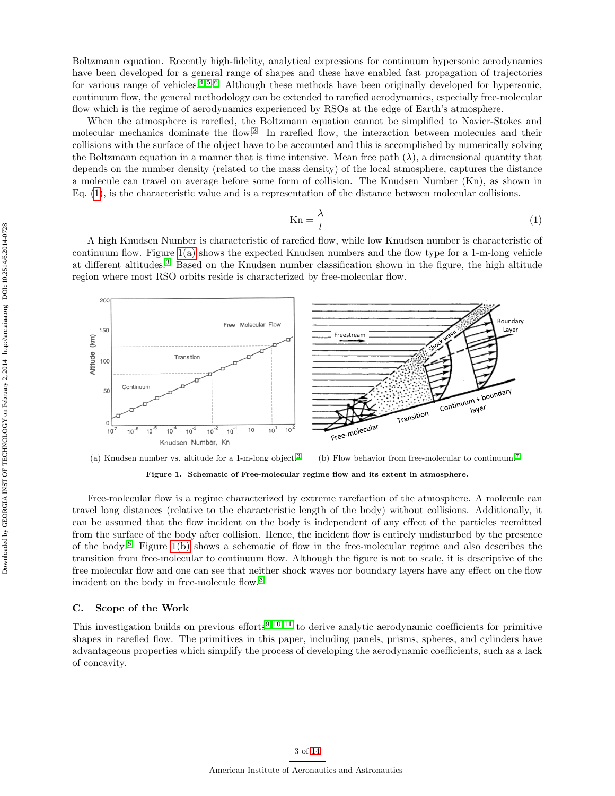Boltzmann equation. Recently high-fidelity, analytical expressions for continuum hypersonic aerodynamics have been developed for a general range of shapes and these have enabled fast propagation of trajectories for various range of vehicles.<sup>[4,](#page-13-2) [5,](#page-13-3) [6](#page-13-4)</sup> Although these methods have been originally developed for hypersonic, continuum flow, the general methodology can be extended to rarefied aerodynamics, especially free-molecular flow which is the regime of aerodynamics experienced by RSOs at the edge of Earth's atmosphere.

When the atmosphere is rarefied, the Boltzmann equation cannot be simplified to Navier-Stokes and molecular mechanics dominate the flow.<sup>[3](#page-13-1)</sup> In rarefied flow, the interaction between molecules and their collisions with the surface of the object have to be accounted and this is accomplished by numerically solving the Boltzmann equation in a manner that is time intensive. Mean free path  $(\lambda)$ , a dimensional quantity that depends on the number density (related to the mass density) of the local atmosphere, captures the distance a molecule can travel on average before some form of collision. The Knudsen Number (Kn), as shown in Eq. [\(1\)](#page-2-0), is the characteristic value and is a representation of the distance between molecular collisions.

<span id="page-2-0"></span>
$$
Kn = \frac{\lambda}{l} \tag{1}
$$

A high Knudsen Number is characteristic of rarefied flow, while low Knudsen number is characteristic of continuum flow. Figure [1\(a\)](#page-2-1) shows the expected Knudsen numbers and the flow type for a 1-m-long vehicle at different altitudes.[3](#page-13-1) Based on the Knudsen number classification shown in the figure, the high altitude region where most RSO orbits reside is characterized by free-molecular flow.

<span id="page-2-1"></span>

<span id="page-2-2"></span>Figure 1. Schematic of Free-molecular regime flow and its extent in atmosphere.

Free-molecular flow is a regime characterized by extreme rarefaction of the atmosphere. A molecule can travel long distances (relative to the characteristic length of the body) without collisions. Additionally, it can be assumed that the flow incident on the body is independent of any effect of the particles reemitted from the surface of the body after collision. Hence, the incident flow is entirely undisturbed by the presence of the body.[8](#page-13-6) Figure [1\(b\)](#page-2-2) shows a schematic of flow in the free-molecular regime and also describes the transition from free-molecular to continuum flow. Although the figure is not to scale, it is descriptive of the free molecular flow and one can see that neither shock waves nor boundary layers have any effect on the flow incident on the body in free-molecule flow.<sup>[8](#page-13-6)</sup>

#### C. Scope of the Work

This investigation builds on previous efforts<sup>[9,](#page-13-7) [10,](#page-13-8) [11](#page-13-9)</sup> to derive analytic aerodynamic coefficients for primitive shapes in rarefied flow. The primitives in this paper, including panels, prisms, spheres, and cylinders have advantageous properties which simplify the process of developing the aerodynamic coefficients, such as a lack of concavity.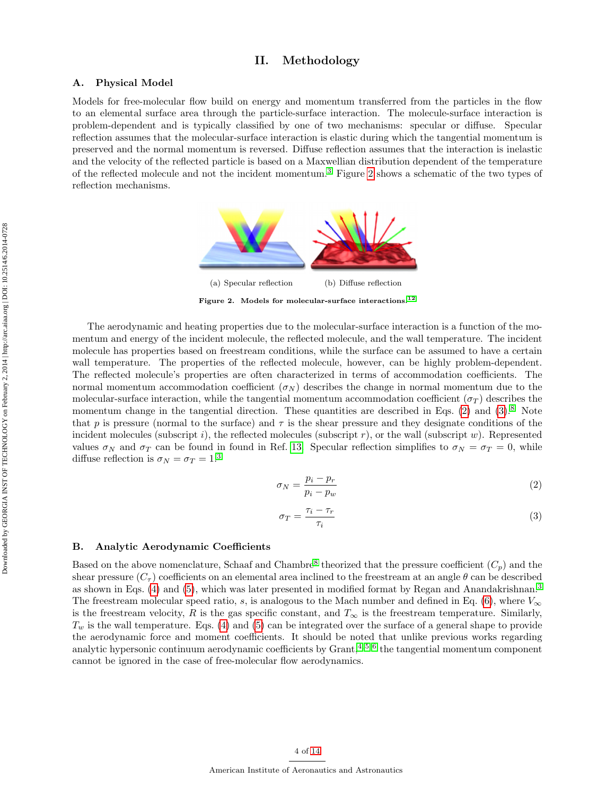# II. Methodology

#### A. Physical Model

Models for free-molecular flow build on energy and momentum transferred from the particles in the flow to an elemental surface area through the particle-surface interaction. The molecule-surface interaction is problem-dependent and is typically classified by one of two mechanisms: specular or diffuse. Specular reflection assumes that the molecular-surface interaction is elastic during which the tangential momentum is preserved and the normal momentum is reversed. Diffuse reflection assumes that the interaction is inelastic and the velocity of the reflected particle is based on a Maxwellian distribution dependent of the temperature of the reflected molecule and not the incident momentum.[3](#page-13-1) Figure [2](#page-3-0) shows a schematic of the two types of reflection mechanisms.



<span id="page-3-0"></span>Figure 2. Models for molecular-surface interactions.<sup>[12](#page-13-10)</sup>

The aerodynamic and heating properties due to the molecular-surface interaction is a function of the momentum and energy of the incident molecule, the reflected molecule, and the wall temperature. The incident molecule has properties based on freestream conditions, while the surface can be assumed to have a certain wall temperature. The properties of the reflected molecule, however, can be highly problem-dependent. The reflected molecule's properties are often characterized in terms of accommodation coefficients. The normal momentum accommodation coefficient  $(\sigma_N)$  describes the change in normal momentum due to the molecular-surface interaction, while the tangential momentum accommodation coefficient ( $\sigma_T$ ) describes the momentum change in the tangential direction. These quantities are described in Eqs. [\(2\)](#page-3-1) and  $(3)$ .<sup>[8](#page-13-6)</sup> Note that p is pressure (normal to the surface) and  $\tau$  is the shear pressure and they designate conditions of the incident molecules (subscript i), the reflected molecules (subscript r), or the wall (subscript w). Represented values  $\sigma_N$  and  $\sigma_T$  can be found in found in Ref. [13.](#page-13-11) Specular reflection simplifies to  $\sigma_N = \sigma_T = 0$ , while diffuse reflection is  $\sigma_N = \sigma_T = 1.3$  $\sigma_N = \sigma_T = 1.3$ 

<span id="page-3-1"></span>
$$
\sigma_N = \frac{p_i - p_r}{p_i - p_w} \tag{2}
$$

<span id="page-3-2"></span>
$$
\sigma_T = \frac{\tau_i - \tau_r}{\tau_i} \tag{3}
$$

#### B. Analytic Aerodynamic Coefficients

Based on the above nomenclature, Schaaf and Chambre<sup>[8](#page-13-6)</sup> theorized that the pressure coefficient  $(C_p)$  and the shear pressure  $(C_{\tau})$  coefficients on an elemental area inclined to the freestream at an angle  $\theta$  can be described as shown in Eqs. [\(4\)](#page-4-0) and [\(5\)](#page-4-1), which was later presented in modified format by Regan and Anandakrishnan.[3](#page-13-1) The freestream molecular speed ratio, s, is analogous to the Mach number and defined in Eq. [\(6\)](#page-4-2), where  $V_{\infty}$ is the freestream velocity, R is the gas specific constant, and  $T_{\infty}$  is the freestream temperature. Similarly,  $T_w$  is the wall temperature. Eqs. [\(4\)](#page-4-0) and [\(5\)](#page-4-1) can be integrated over the surface of a general shape to provide the aerodynamic force and moment coefficients. It should be noted that unlike previous works regarding analytic hypersonic continuum aerodynamic coefficients by  $Grant$ ,  $4, 5, 6$  $4, 5, 6$  $4, 5, 6$  the tangential momentum component cannot be ignored in the case of free-molecular flow aerodynamics.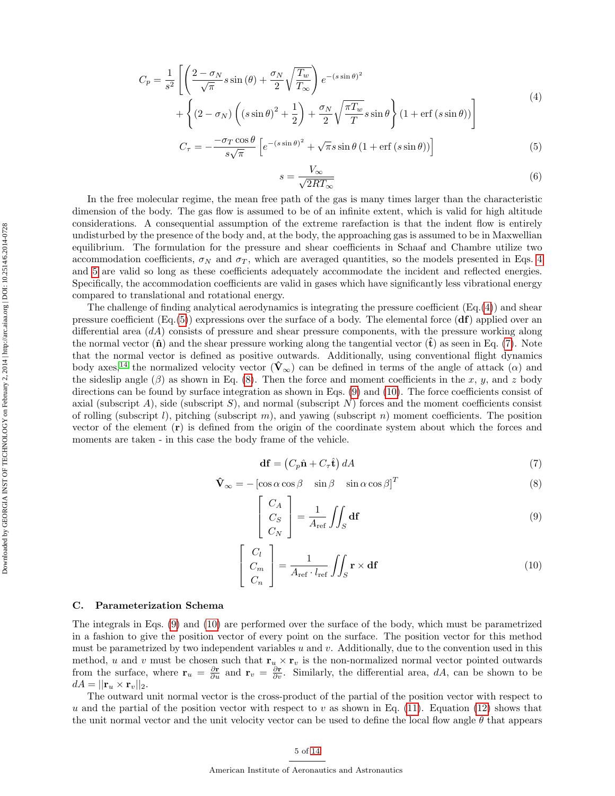<span id="page-4-0"></span>
$$
C_p = \frac{1}{s^2} \left[ \left( \frac{2 - \sigma_N}{\sqrt{\pi}} s \sin (\theta) + \frac{\sigma_N}{2} \sqrt{\frac{T_w}{T_\infty}} \right) e^{-(s \sin \theta)^2} + \left\{ (2 - \sigma_N) \left( (s \sin \theta)^2 + \frac{1}{2} \right) + \frac{\sigma_N}{2} \sqrt{\frac{\pi T_w}{T}} s \sin \theta \right\} (1 + \text{erf} (s \sin \theta)) \right]
$$
(4)

<span id="page-4-1"></span>
$$
C_{\tau} = -\frac{-\sigma_T \cos \theta}{s\sqrt{\pi}} \left[ e^{-(s\sin\theta)^2} + \sqrt{\pi}s \sin \theta (1 + \text{erf}(s\sin\theta)) \right]
$$
(5)

<span id="page-4-2"></span>
$$
s = \frac{V_{\infty}}{\sqrt{2RT_{\infty}}} \tag{6}
$$

In the free molecular regime, the mean free path of the gas is many times larger than the characteristic dimension of the body. The gas flow is assumed to be of an infinite extent, which is valid for high altitude considerations. A consequential assumption of the extreme rarefaction is that the indent flow is entirely undisturbed by the presence of the body and, at the body, the approaching gas is assumed to be in Maxwellian equilibrium. The formulation for the pressure and shear coefficients in Schaaf and Chambre utilize two accommodation coefficients,  $\sigma_N$  and  $\sigma_T$ , which are averaged quantities, so the models presented in Eqs. [4](#page-4-0) and [5](#page-4-1) are valid so long as these coefficients adequately accommodate the incident and reflected energies. Specifically, the accommodation coefficients are valid in gases which have significantly less vibrational energy compared to translational and rotational energy.

The challenge of finding analytical aerodynamics is integrating the pressure coefficient  $(E_q(4))$  $(E_q(4))$  $(E_q(4))$  and shear pressure coefficient  $(Eq.5)$  expressions over the surface of a body. The elemental force  $(df)$  applied over an differential area  $(dA)$  consists of pressure and shear pressure components, with the pressure working along the normal vector  $(\hat{\bf{n}})$  and the shear pressure working along the tangential vector  $(\hat{\bf{t}})$  as seen in Eq. [\(7\)](#page-4-3). Note that the normal vector is defined as positive outwards. Additionally, using conventional flight dynamics body axes,<sup>[14](#page-13-12)</sup> the normalized velocity vector  $(\hat{\mathbf{V}}_{\infty})$  can be defined in terms of the angle of attack  $(\alpha)$  and the sideslip angle  $(\beta)$  as shown in Eq. [\(8\)](#page-4-4). Then the force and moment coefficients in the x, y, and z body directions can be found by surface integration as shown in Eqs. [\(9\)](#page-4-5) and [\(10\)](#page-4-6). The force coefficients consist of axial (subscript A), side (subscript  $S$ ), and normal (subscript  $N$ ) forces and the moment coefficients consist of rolling (subscript l), pitching (subscript m), and yawing (subscript n) moment coefficients. The position vector of the element (r) is defined from the origin of the coordinate system about which the forces and moments are taken - in this case the body frame of the vehicle.

<span id="page-4-3"></span>
$$
\mathbf{df} = \left(C_p \hat{\mathbf{n}} + C_\tau \hat{\mathbf{t}}\right) dA\tag{7}
$$

<span id="page-4-4"></span>
$$
\hat{\mathbf{V}}_{\infty} = -\begin{bmatrix} \cos \alpha \cos \beta & \sin \beta & \sin \alpha \cos \beta \end{bmatrix}^{T}
$$
\n(8)

<span id="page-4-5"></span>
$$
\begin{bmatrix} C_A \\ C_S \\ C_N \end{bmatrix} = \frac{1}{A_{\text{ref}}} \iint_S d\mathbf{f}
$$
 (9)

<span id="page-4-6"></span>
$$
\begin{bmatrix} C_l \\ C_m \\ C_n \end{bmatrix} = \frac{1}{A_{\text{ref}} \cdot l_{\text{ref}}} \iint_S \mathbf{r} \times \mathbf{df} \tag{10}
$$

#### C. Parameterization Schema

The integrals in Eqs. [\(9\)](#page-4-5) and [\(10\)](#page-4-6) are performed over the surface of the body, which must be parametrized in a fashion to give the position vector of every point on the surface. The position vector for this method must be parametrized by two independent variables  $u$  and  $v$ . Additionally, due to the convention used in this method, u and v must be chosen such that  $\mathbf{r}_u \times \mathbf{r}_v$  is the non-normalized normal vector pointed outwards from the surface, where  $\mathbf{r}_u = \frac{\partial \mathbf{r}}{\partial u}$  and  $\mathbf{r}_v = \frac{\partial \mathbf{r}}{\partial v}$ . Similarly, the differential area, dA, can be shown to be  $dA = ||\mathbf{r}_u \times \mathbf{r}_v||_2.$ 

The outward unit normal vector is the cross-product of the partial of the position vector with respect to u and the partial of the position vector with respect to v as shown in Eq. [\(11\)](#page-5-0). Equation [\(12\)](#page-5-1) shows that the unit normal vector and the unit velocity vector can be used to define the local flow angle  $\theta$  that appears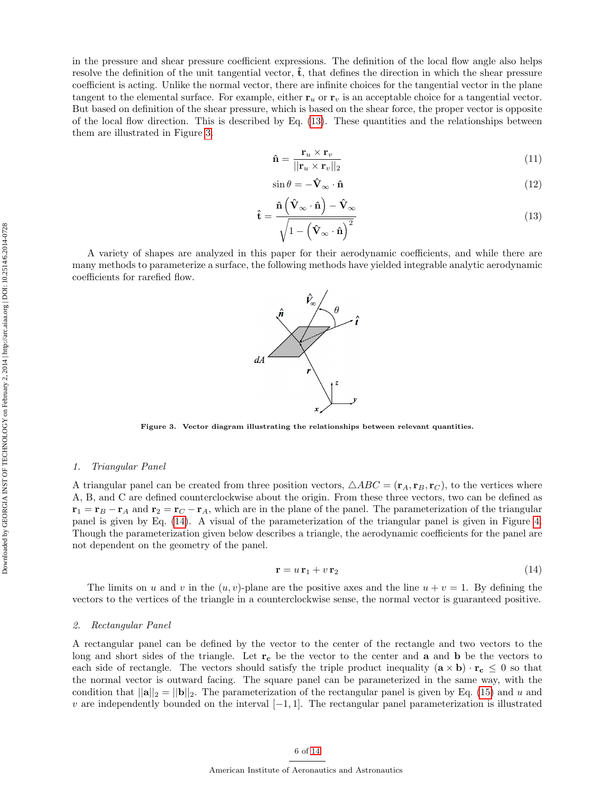in the pressure and shear pressure coefficient expressions. The definition of the local flow angle also helps resolve the definition of the unit tangential vector,  $\hat{\mathbf{t}}$ , that defines the direction in which the shear pressure coefficient is acting. Unlike the normal vector, there are infinite choices for the tangential vector in the plane tangent to the elemental surface. For example, either  $r_u$  or  $r_v$  is an acceptable choice for a tangential vector. But based on definition of the shear pressure, which is based on the shear force, the proper vector is opposite of the local flow direction. This is described by Eq. [\(13\)](#page-5-2). These quantities and the relationships between them are illustrated in Figure [3.](#page-5-3)

<span id="page-5-0"></span>
$$
\hat{\mathbf{n}} = \frac{\mathbf{r}_u \times \mathbf{r}_v}{||\mathbf{r}_u \times \mathbf{r}_v||_2} \tag{11}
$$

<span id="page-5-1"></span>
$$
\sin \theta = -\hat{\mathbf{V}}_{\infty} \cdot \hat{\mathbf{n}} \tag{12}
$$

<span id="page-5-2"></span>
$$
\hat{\mathbf{t}} = \frac{\hat{\mathbf{n}} \left( \hat{\mathbf{V}}_{\infty} \cdot \hat{\mathbf{n}} \right) - \hat{\mathbf{V}}_{\infty}}{\sqrt{1 - \left( \hat{\mathbf{V}}_{\infty} \cdot \hat{\mathbf{n}} \right)^2}}
$$
(13)

A variety of shapes are analyzed in this paper for their aerodynamic coefficients, and while there are many methods to parameterize a surface, the following methods have yielded integrable analytic aerodynamic coefficients for rarefied flow.



<span id="page-5-3"></span>Figure 3. Vector diagram illustrating the relationships between relevant quantities.

#### 1. Triangular Panel

A triangular panel can be created from three position vectors,  $\triangle ABC = (\mathbf{r}_A, \mathbf{r}_B, \mathbf{r}_C)$ , to the vertices where A, B, and C are defined counterclockwise about the origin. From these three vectors, two can be defined as  $\mathbf{r}_1 = \mathbf{r}_B - \mathbf{r}_A$  and  $\mathbf{r}_2 = \mathbf{r}_C - \mathbf{r}_A$ , which are in the plane of the panel. The parameterization of the triangular panel is given by Eq. [\(14\)](#page-5-4). A visual of the parameterization of the triangular panel is given in Figure [4.](#page-6-0) Though the parameterization given below describes a triangle, the aerodynamic coefficients for the panel are not dependent on the geometry of the panel.

<span id="page-5-4"></span>
$$
\mathbf{r} = u \,\mathbf{r}_1 + v \,\mathbf{r}_2 \tag{14}
$$

The limits on u and v in the  $(u, v)$ -plane are the positive axes and the line  $u + v = 1$ . By defining the vectors to the vertices of the triangle in a counterclockwise sense, the normal vector is guaranteed positive.

#### 2. Rectangular Panel

A rectangular panel can be defined by the vector to the center of the rectangle and two vectors to the long and short sides of the triangle. Let  $r_c$  be the vector to the center and **a** and **b** be the vectors to each side of rectangle. The vectors should satisfy the triple product inequality  $(\mathbf{a} \times \mathbf{b}) \cdot \mathbf{r_c} \leq 0$  so that the normal vector is outward facing. The square panel can be parameterized in the same way, with the condition that  $||\mathbf{a}||_2 = ||\mathbf{b}||_2$ . The parameterization of the rectangular panel is given by Eq. [\(15\)](#page-6-1) and u and v are independently bounded on the interval  $[-1, 1]$ . The rectangular panel parameterization is illustrated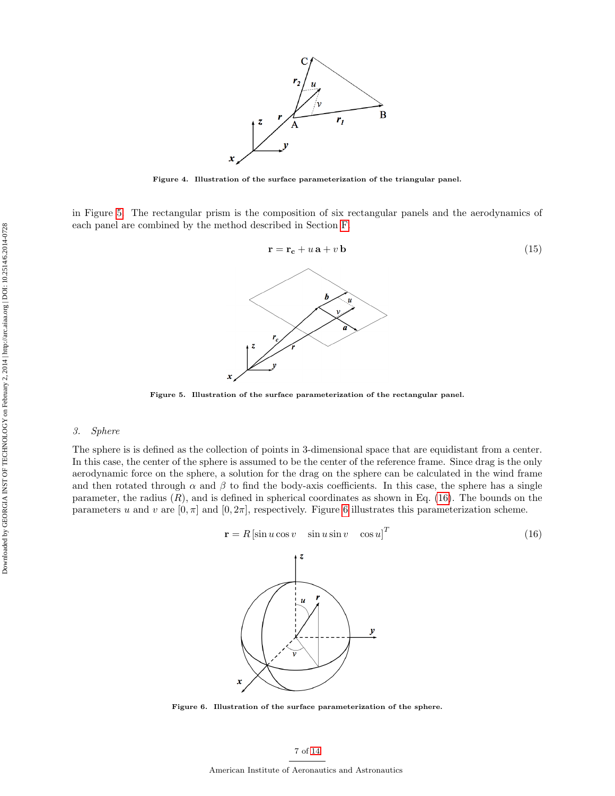

<span id="page-6-0"></span>Figure 4. Illustration of the surface parameterization of the triangular panel.

in Figure [5.](#page-6-2) The rectangular prism is the composition of six rectangular panels and the aerodynamics of each panel are combined by the method described in Section [F.](#page-8-0)

<span id="page-6-1"></span>

<span id="page-6-2"></span>Figure 5. Illustration of the surface parameterization of the rectangular panel.

### 3. Sphere

The sphere is is defined as the collection of points in 3-dimensional space that are equidistant from a center. In this case, the center of the sphere is assumed to be the center of the reference frame. Since drag is the only aerodynamic force on the sphere, a solution for the drag on the sphere can be calculated in the wind frame and then rotated through  $\alpha$  and  $\beta$  to find the body-axis coefficients. In this case, the sphere has a single parameter, the radius  $(R)$ , and is defined in spherical coordinates as shown in Eq. [\(16\)](#page-6-3). The bounds on the parameters u and v are  $[0, \pi]$  and  $[0, 2\pi]$ , respectively. Figure [6](#page-6-4) illustrates this parameterization scheme.

<span id="page-6-3"></span>
$$
\mathbf{r} = R \left[ \sin u \cos v \quad \sin u \sin v \quad \cos u \right]^T \tag{16}
$$

Figure 6. Illustration of the surface parameterization of the sphere.

<span id="page-6-4"></span>x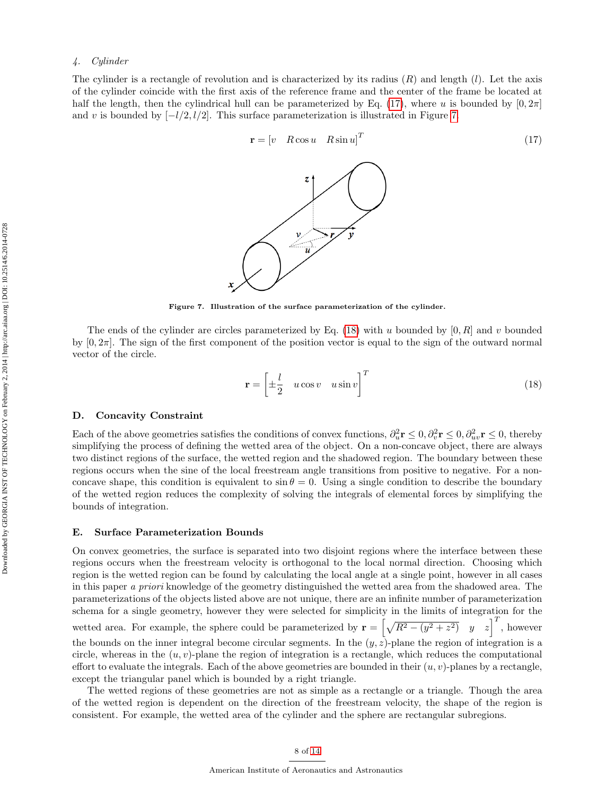The cylinder is a rectangle of revolution and is characterized by its radius  $(R)$  and length  $(l)$ . Let the axis of the cylinder coincide with the first axis of the reference frame and the center of the frame be located at half the length, then the cylindrical hull can be parameterized by Eq. [\(17\)](#page-7-0), where u is bounded by  $[0, 2\pi]$ and v is bounded by  $\lceil -l/2, l/2 \rceil$ . This surface parameterization is illustrated in Figure [7.](#page-7-1)

<span id="page-7-0"></span>

<span id="page-7-1"></span>Figure 7. Illustration of the surface parameterization of the cylinder.

The ends of the cylinder are circles parameterized by Eq. [\(18\)](#page-7-2) with u bounded by  $[0, R]$  and v bounded by  $[0, 2\pi]$ . The sign of the first component of the position vector is equal to the sign of the outward normal vector of the circle.

<span id="page-7-2"></span>
$$
\mathbf{r} = \begin{bmatrix} \pm \frac{l}{2} & u \cos v & u \sin v \end{bmatrix}^T \tag{18}
$$

#### D. Concavity Constraint

Each of the above geometries satisfies the conditions of convex functions,  $\partial_u^2 \mathbf{r} \leq 0, \partial_v^2 \mathbf{r} \leq 0, \partial_{uv}^2 \mathbf{r} \leq 0$ , thereby simplifying the process of defining the wetted area of the object. On a non-concave object, there are always two distinct regions of the surface, the wetted region and the shadowed region. The boundary between these regions occurs when the sine of the local freestream angle transitions from positive to negative. For a nonconcave shape, this condition is equivalent to  $\sin \theta = 0$ . Using a single condition to describe the boundary of the wetted region reduces the complexity of solving the integrals of elemental forces by simplifying the bounds of integration.

#### E. Surface Parameterization Bounds

On convex geometries, the surface is separated into two disjoint regions where the interface between these regions occurs when the freestream velocity is orthogonal to the local normal direction. Choosing which region is the wetted region can be found by calculating the local angle at a single point, however in all cases in this paper a priori knowledge of the geometry distinguished the wetted area from the shadowed area. The parameterizations of the objects listed above are not unique, there are an infinite number of parameterization schema for a single geometry, however they were selected for simplicity in the limits of integration for the wetted area. For example, the sphere could be parameterized by  $\mathbf{r} = \left[\sqrt{R^2 - (y^2 + z^2)} \quad y \quad z\right]^T$ , however the bounds on the inner integral become circular segments. In the  $(y, z)$ -plane the region of integration is a circle, whereas in the  $(u, v)$ -plane the region of integration is a rectangle, which reduces the computational effort to evaluate the integrals. Each of the above geometries are bounded in their  $(u, v)$ -planes by a rectangle, except the triangular panel which is bounded by a right triangle.

The wetted regions of these geometries are not as simple as a rectangle or a triangle. Though the area of the wetted region is dependent on the direction of the freestream velocity, the shape of the region is consistent. For example, the wetted area of the cylinder and the sphere are rectangular subregions.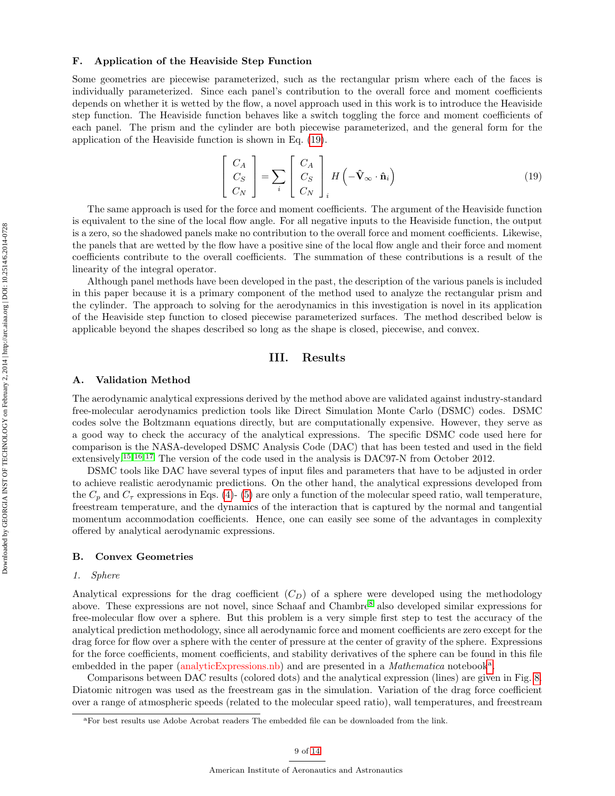#### <span id="page-8-0"></span>F. Application of the Heaviside Step Function

Some geometries are piecewise parameterized, such as the rectangular prism where each of the faces is individually parameterized. Since each panel's contribution to the overall force and moment coefficients depends on whether it is wetted by the flow, a novel approach used in this work is to introduce the Heaviside step function. The Heaviside function behaves like a switch toggling the force and moment coefficients of each panel. The prism and the cylinder are both piecewise parameterized, and the general form for the application of the Heaviside function is shown in Eq. [\(19\)](#page-8-1).

<span id="page-8-1"></span>
$$
\begin{bmatrix} C_A \\ C_S \\ C_N \end{bmatrix} = \sum_i \begin{bmatrix} C_A \\ C_S \\ C_N \end{bmatrix}_i H \left( -\hat{\mathbf{V}}_{\infty} \cdot \hat{\mathbf{n}}_i \right)
$$
(19)

The same approach is used for the force and moment coefficients. The argument of the Heaviside function is equivalent to the sine of the local flow angle. For all negative inputs to the Heaviside function, the output is a zero, so the shadowed panels make no contribution to the overall force and moment coefficients. Likewise, the panels that are wetted by the flow have a positive sine of the local flow angle and their force and moment coefficients contribute to the overall coefficients. The summation of these contributions is a result of the linearity of the integral operator.

Although panel methods have been developed in the past, the description of the various panels is included in this paper because it is a primary component of the method used to analyze the rectangular prism and the cylinder. The approach to solving for the aerodynamics in this investigation is novel in its application of the Heaviside step function to closed piecewise parameterized surfaces. The method described below is applicable beyond the shapes described so long as the shape is closed, piecewise, and convex.

# III. Results

#### A. Validation Method

The aerodynamic analytical expressions derived by the method above are validated against industry-standard free-molecular aerodynamics prediction tools like Direct Simulation Monte Carlo (DSMC) codes. DSMC codes solve the Boltzmann equations directly, but are computationally expensive. However, they serve as a good way to check the accuracy of the analytical expressions. The specific DSMC code used here for comparison is the NASA-developed DSMC Analysis Code (DAC) that has been tested and used in the field extensively.<sup>[15,](#page-13-13) [16,](#page-13-14) [17](#page-13-15)</sup> The version of the code used in the analysis is DAC97-N from October 2012.

DSMC tools like DAC have several types of input files and parameters that have to be adjusted in order to achieve realistic aerodynamic predictions. On the other hand, the analytical expressions developed from the  $C_p$  and  $C_\tau$  expressions in Eqs. [\(4\)](#page-4-0)- [\(5\)](#page-4-1) are only a function of the molecular speed ratio, wall temperature, freestream temperature, and the dynamics of the interaction that is captured by the normal and tangential momentum accommodation coefficients. Hence, one can easily see some of the advantages in complexity offered by analytical aerodynamic expressions.

#### <span id="page-8-3"></span>B. Convex Geometries

#### <span id="page-8-4"></span>1. Sphere

Analytical expressions for the drag coefficient  $(C_D)$  of a sphere were developed using the methodology above. These expressions are not novel, since Schaaf and Chambre[8](#page-13-6) also developed similar expressions for free-molecular flow over a sphere. But this problem is a very simple first step to test the accuracy of the analytical prediction methodology, since all aerodynamic force and moment coefficients are zero except for the drag force for flow over a sphere with the center of pressure at the center of gravity of the sphere. Expressions for the force coefficients, moment coefficients, and stability derivatives of the sphere can be found in this file embedded in the p[a](#page-8-2)per (analyticExpressions.nb) and are presented in a Mathematica notebook<sup>a</sup>.

Comparisons between DAC results (colored dots) and the analytical expression (lines) are given in Fig. [8.](#page-9-0) Diatomic nitrogen was used as the freestream gas in the simulation. Variation of the drag force coefficient over a range of atmospheric speeds (related to the molecular speed ratio), wall temperatures, and freestream

<span id="page-8-2"></span><sup>a</sup>For best results use Adobe Acrobat readers The embedded file can be downloaded from the link.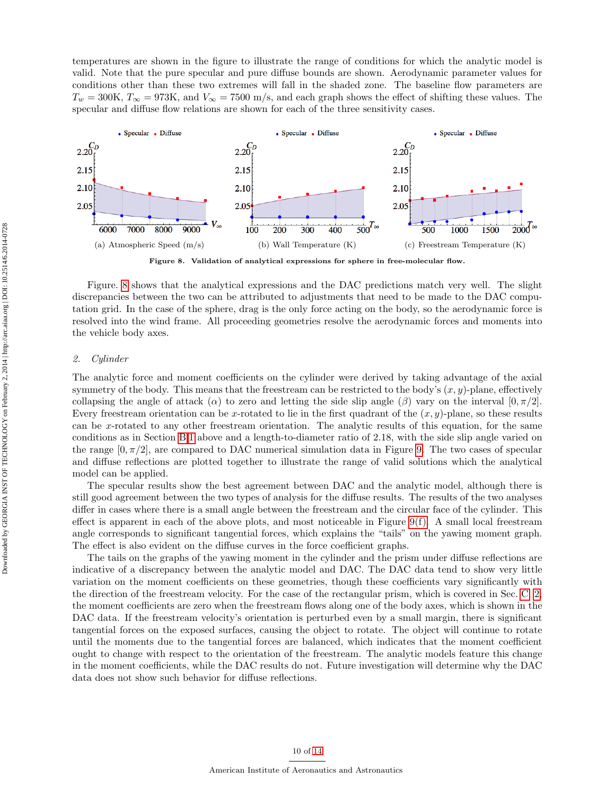temperatures are shown in the figure to illustrate the range of conditions for which the analytic model is valid. Note that the pure specular and pure diffuse bounds are shown. Aerodynamic parameter values for conditions other than these two extremes will fall in the shaded zone. The baseline flow parameters are  $T_w = 300$ K,  $T_{\infty} = 973$ K, and  $V_{\infty} = 7500$  m/s, and each graph shows the effect of shifting these values. The specular and diffuse flow relations are shown for each of the three sensitivity cases.



<span id="page-9-0"></span>Figure 8. Validation of analytical expressions for sphere in free-molecular flow.

Figure. [8](#page-9-0) shows that the analytical expressions and the DAC predictions match very well. The slight discrepancies between the two can be attributed to adjustments that need to be made to the DAC computation grid. In the case of the sphere, drag is the only force acting on the body, so the aerodynamic force is resolved into the wind frame. All proceeding geometries resolve the aerodynamic forces and moments into the vehicle body axes.

#### 2. Cylinder

The analytic force and moment coefficients on the cylinder were derived by taking advantage of the axial symmetry of the body. This means that the freestream can be restricted to the body's  $(x, y)$ -plane, effectively collapsing the angle of attack ( $\alpha$ ) to zero and letting the side slip angle ( $\beta$ ) vary on the interval  $[0, \pi/2]$ . Every freestream orientation can be x-rotated to lie in the first quadrant of the  $(x, y)$ -plane, so these results can be x-rotated to any other freestream orientation. The analytic results of this equation, for the same conditions as in Section [B](#page-8-3)[.1](#page-8-4) above and a length-to-diameter ratio of 2.18, with the side slip angle varied on the range  $[0, \pi/2]$ , are compared to DAC numerical simulation data in Figure [9.](#page-10-0) The two cases of specular and diffuse reflections are plotted together to illustrate the range of valid solutions which the analytical model can be applied.

The specular results show the best agreement between DAC and the analytic model, although there is still good agreement between the two types of analysis for the diffuse results. The results of the two analyses differ in cases where there is a small angle between the freestream and the circular face of the cylinder. This effect is apparent in each of the above plots, and most noticeable in Figure [9\(f\).](#page-10-1) A small local freestream angle corresponds to significant tangential forces, which explains the "tails" on the yawing moment graph. The effect is also evident on the diffuse curves in the force coefficient graphs.

The tails on the graphs of the yawing moment in the cylinder and the prism under diffuse reflections are indicative of a discrepancy between the analytic model and DAC. The DAC data tend to show very little variation on the moment coefficients on these geometries, though these coefficients vary significantly with the direction of the freestream velocity. For the case of the rectangular prism, which is covered in Sec. [C.](#page-10-2) [2,](#page-10-3) the moment coefficients are zero when the freestream flows along one of the body axes, which is shown in the DAC data. If the freestream velocity's orientation is perturbed even by a small margin, there is significant tangential forces on the exposed surfaces, causing the object to rotate. The object will continue to rotate until the moments due to the tangential forces are balanced, which indicates that the moment coefficient ought to change with respect to the orientation of the freestream. The analytic models feature this change in the moment coefficients, while the DAC results do not. Future investigation will determine why the DAC data does not show such behavior for diffuse reflections.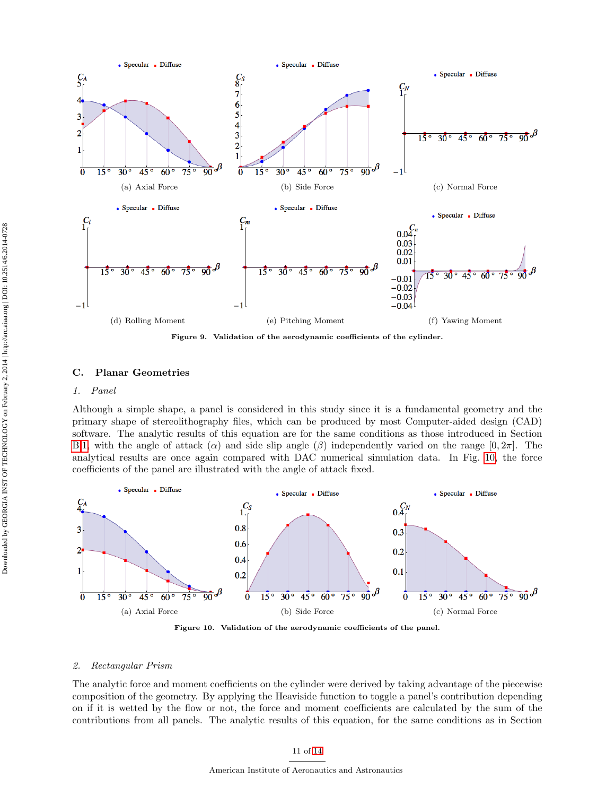

<span id="page-10-1"></span><span id="page-10-0"></span>Figure 9. Validation of the aerodynamic coefficients of the cylinder.

#### <span id="page-10-2"></span>C. Planar Geometries

#### 1. Panel

Although a simple shape, a panel is considered in this study since it is a fundamental geometry and the primary shape of stereolithography files, which can be produced by most Computer-aided design (CAD) software. The analytic results of this equation are for the same conditions as those introduced in Section [B.](#page-8-3)[1,](#page-8-4) with the angle of attack ( $\alpha$ ) and side slip angle ( $\beta$ ) independently varied on the range [0, 2π]. The analytical results are once again compared with DAC numerical simulation data. In Fig. [10,](#page-10-4) the force coefficients of the panel are illustrated with the angle of attack fixed.



<span id="page-10-4"></span>Figure 10. Validation of the aerodynamic coefficients of the panel.

#### <span id="page-10-3"></span>2. Rectangular Prism

The analytic force and moment coefficients on the cylinder were derived by taking advantage of the piecewise composition of the geometry. By applying the Heaviside function to toggle a panel's contribution depending on if it is wetted by the flow or not, the force and moment coefficients are calculated by the sum of the contributions from all panels. The analytic results of this equation, for the same conditions as in Section

#### 11 of [14](#page-13-0)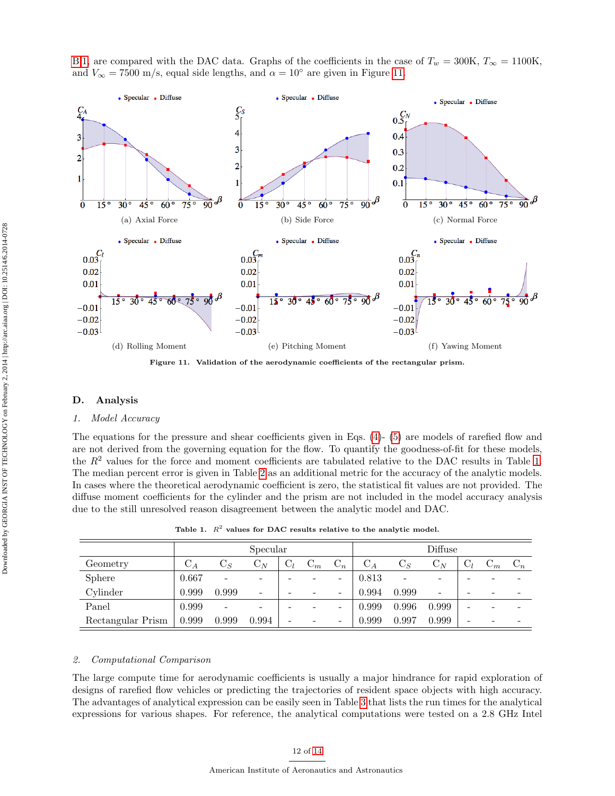



<span id="page-11-0"></span>Figure 11. Validation of the aerodynamic coefficients of the rectangular prism.

#### D. Analysis

#### 1. Model Accuracy

The equations for the pressure and shear coefficients given in Eqs. [\(4\)](#page-4-0)- [\(5\)](#page-4-1) are models of rarefied flow and are not derived from the governing equation for the flow. To quantify the goodness-of-fit for these models, the  $R^2$  values for the force and moment coefficients are tabulated relative to the DAC results in Table [1.](#page-11-1) The median percent error is given in Table [2](#page-12-2) as an additional metric for the accuracy of the analytic models. In cases where the theoretical aerodynamic coefficient is zero, the statistical fit values are not provided. The diffuse moment coefficients for the cylinder and the prism are not included in the model accuracy analysis due to the still unresolved reason disagreement between the analytic model and DAC.

<span id="page-11-1"></span>Table 1.  $R^2$  values for DAC results relative to the analytic model.

|                   | Specular         |                          |                          |       |       |                | Diffuse |                |                |                          |       |                |
|-------------------|------------------|--------------------------|--------------------------|-------|-------|----------------|---------|----------------|----------------|--------------------------|-------|----------------|
| Geometry          | $\mathrm{C}_{A}$ | $\mathrm{C}_S$           | $\mathrm{C}_N$           | $C_l$ | $C_m$ | $\mathrm{C}_n$ | $C_A$   | $\mathrm{C}_S$ | $\mathrm{C}_N$ | $C_l$                    | $C_m$ | $\mathrm{C}_n$ |
| <b>Sphere</b>     | 0.667            | $\overline{\phantom{a}}$ | -                        |       |       | -              | 0.813   | ۰              | -              | -                        |       |                |
| Cylinder          | 0.999            | 0.999                    | $\overline{\phantom{0}}$ |       |       | -              | 0.994   | 0.999          | -              | $\overline{\phantom{a}}$ | -     |                |
| Panel             | 0.999            | $\overline{\phantom{a}}$ | ۰                        |       |       | -              | 0.999   | 0.996          | 0.999          | $\overline{\phantom{a}}$ |       |                |
| Rectangular Prism | 0.999            | 0.999                    | 0.994                    | -     |       | -              | 0.999   | 0.997          | 0.999          | -                        |       |                |

#### 2. Computational Comparison

The large compute time for aerodynamic coefficients is usually a major hindrance for rapid exploration of designs of rarefied flow vehicles or predicting the trajectories of resident space objects with high accuracy. The advantages of analytical expression can be easily seen in Table [3](#page-12-3) that lists the run times for the analytical expressions for various shapes. For reference, the analytical computations were tested on a 2.8 GHz Intel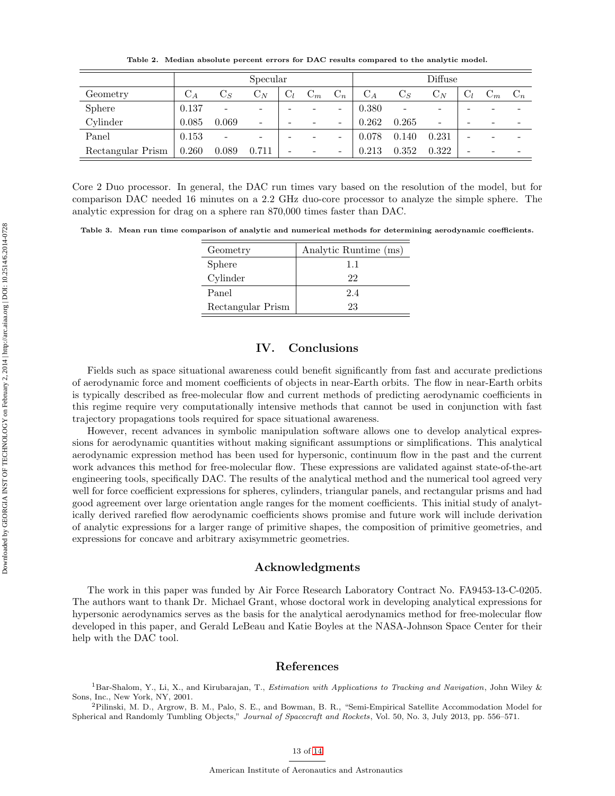<span id="page-12-2"></span>Table 2. Median absolute percent errors for DAC results compared to the analytic model.

|                   | Specular       |                          |                              |       |       |                          | Diffuse |                |                          |                          |          |       |
|-------------------|----------------|--------------------------|------------------------------|-------|-------|--------------------------|---------|----------------|--------------------------|--------------------------|----------|-------|
| Geometry          | $\mathrm{C}_A$ | $\mathrm{C}_S$           | $\mathrm{C}_N$               | $C_l$ | $C_m$ | $\mathrm{C}_n$           | $C_A$   | $\mathrm{C}_S$ | $\mathrm{C}_N$           | $C_l$                    | $\cup_m$ | $C_n$ |
| <b>Sphere</b>     | 0.137          | $\overline{\phantom{a}}$ | $\qquad \qquad \blacksquare$ |       |       | $\overline{\phantom{a}}$ | 0.380   | -              | $\overline{\phantom{a}}$ | -                        |          |       |
| Cylinder          | 0.085          | 0.069                    | $\overline{\phantom{0}}$     | -     |       | $\overline{\phantom{0}}$ | 0.262   | 0.265          | $\overline{\phantom{a}}$ | $\overline{\phantom{0}}$ | ۰        |       |
| Panel             | 0.153          | $\overline{\phantom{a}}$ | $\qquad \qquad \blacksquare$ |       |       | $\overline{\phantom{a}}$ | 0.078   | 0.140          | 0.231                    | $\overline{\phantom{0}}$ |          |       |
| Rectangular Prism | 0.260          | 0.089                    | 0.711                        |       |       | -                        | 0.213   | 0.352          | 0.322                    | -                        |          |       |

Core 2 Duo processor. In general, the DAC run times vary based on the resolution of the model, but for comparison DAC needed 16 minutes on a 2.2 GHz duo-core processor to analyze the simple sphere. The analytic expression for drag on a sphere ran 870,000 times faster than DAC.

<span id="page-12-3"></span>Table 3. Mean run time comparison of analytic and numerical methods for determining aerodynamic coefficients.

| Geometry          | Analytic Runtime (ms) |
|-------------------|-----------------------|
| Sphere            | 11                    |
| Cylinder          | 22                    |
| Panel             | 24                    |
| Rectangular Prism | 23                    |

# IV. Conclusions

Fields such as space situational awareness could benefit significantly from fast and accurate predictions of aerodynamic force and moment coefficients of objects in near-Earth orbits. The flow in near-Earth orbits is typically described as free-molecular flow and current methods of predicting aerodynamic coefficients in this regime require very computationally intensive methods that cannot be used in conjunction with fast trajectory propagations tools required for space situational awareness.

However, recent advances in symbolic manipulation software allows one to develop analytical expressions for aerodynamic quantities without making significant assumptions or simplifications. This analytical aerodynamic expression method has been used for hypersonic, continuum flow in the past and the current work advances this method for free-molecular flow. These expressions are validated against state-of-the-art engineering tools, specifically DAC. The results of the analytical method and the numerical tool agreed very well for force coefficient expressions for spheres, cylinders, triangular panels, and rectangular prisms and had good agreement over large orientation angle ranges for the moment coefficients. This initial study of analytically derived rarefied flow aerodynamic coefficients shows promise and future work will include derivation of analytic expressions for a larger range of primitive shapes, the composition of primitive geometries, and expressions for concave and arbitrary axisymmetric geometries.

#### Acknowledgments

The work in this paper was funded by Air Force Research Laboratory Contract No. FA9453-13-C-0205. The authors want to thank Dr. Michael Grant, whose doctoral work in developing analytical expressions for hypersonic aerodynamics serves as the basis for the analytical aerodynamics method for free-molecular flow developed in this paper, and Gerald LeBeau and Katie Boyles at the NASA-Johnson Space Center for their help with the DAC tool.

# References

<span id="page-12-0"></span> ${}^{1}$ Bar-Shalom, Y., Li, X., and Kirubarajan, T., *Estimation with Applications to Tracking and Navigation*, John Wiley & Sons, Inc., New York, NY, 2001.

<span id="page-12-1"></span><sup>2</sup>Pilinski, M. D., Argrow, B. M., Palo, S. E., and Bowman, B. R., "Semi-Empirical Satellite Accommodation Model for Spherical and Randomly Tumbling Objects," Journal of Spacecraft and Rockets, Vol. 50, No. 3, July 2013, pp. 556–571.